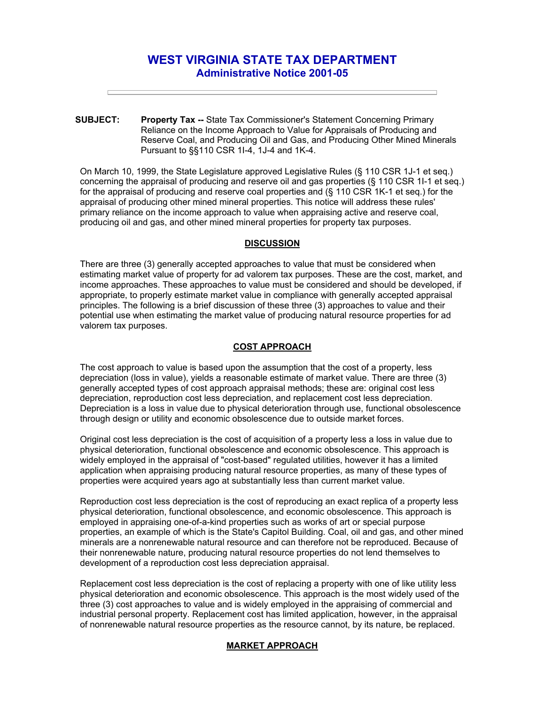# **WEST VIRGINIA STATE TAX DEPARTMENT Administrative Notice 2001-05**

**SUBJECT: Property Tax --** State Tax Commissioner's Statement Concerning Primary Reliance on the Income Approach to Value for Appraisals of Producing and Reserve Coal, and Producing Oil and Gas, and Producing Other Mined Minerals Pursuant to §§110 CSR 1I-4, 1J-4 and 1K-4.

On March 10, 1999, the State Legislature approved Legislative Rules (§ 110 CSR 1J-1 et seq.) concerning the appraisal of producing and reserve oil and gas properties (§ 110 CSR 1I-1 et seq.) for the appraisal of producing and reserve coal properties and (§ 110 CSR 1K-1 et seq.) for the appraisal of producing other mined mineral properties. This notice will address these rules' primary reliance on the income approach to value when appraising active and reserve coal, producing oil and gas, and other mined mineral properties for property tax purposes.

### **DISCUSSION**

There are three (3) generally accepted approaches to value that must be considered when estimating market value of property for ad valorem tax purposes. These are the cost, market, and income approaches. These approaches to value must be considered and should be developed, if appropriate, to properly estimate market value in compliance with generally accepted appraisal principles. The following is a brief discussion of these three (3) approaches to value and their potential use when estimating the market value of producing natural resource properties for ad valorem tax purposes.

## **COST APPROACH**

The cost approach to value is based upon the assumption that the cost of a property, less depreciation (loss in value), yields a reasonable estimate of market value. There are three (3) generally accepted types of cost approach appraisal methods; these are: original cost less depreciation, reproduction cost less depreciation, and replacement cost less depreciation. Depreciation is a loss in value due to physical deterioration through use, functional obsolescence through design or utility and economic obsolescence due to outside market forces.

Original cost less depreciation is the cost of acquisition of a property less a loss in value due to physical deterioration, functional obsolescence and economic obsolescence. This approach is widely employed in the appraisal of "cost-based" regulated utilities, however it has a limited application when appraising producing natural resource properties, as many of these types of properties were acquired years ago at substantially less than current market value.

Reproduction cost less depreciation is the cost of reproducing an exact replica of a property less physical deterioration, functional obsolescence, and economic obsolescence. This approach is employed in appraising one-of-a-kind properties such as works of art or special purpose properties, an example of which is the State's Capitol Building. Coal, oil and gas, and other mined minerals are a nonrenewable natural resource and can therefore not be reproduced. Because of their nonrenewable nature, producing natural resource properties do not lend themselves to development of a reproduction cost less depreciation appraisal.

Replacement cost less depreciation is the cost of replacing a property with one of like utility less physical deterioration and economic obsolescence. This approach is the most widely used of the three (3) cost approaches to value and is widely employed in the appraising of commercial and industrial personal property. Replacement cost has limited application, however, in the appraisal of nonrenewable natural resource properties as the resource cannot, by its nature, be replaced.

# **MARKET APPROACH**